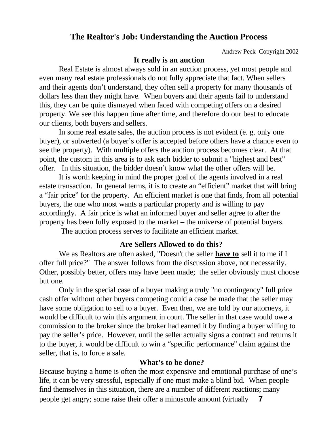# **The Realtor's Job: Understanding the Auction Process**

Andrew Peck Copyright 2002

#### **It really is an auction**

Real Estate is almost always sold in an auction process, yet most people and even many real estate professionals do not fully appreciate that fact. When sellers and their agents don't understand, they often sell a property for many thousands of dollars less than they might have. When buyers and their agents fail to understand this, they can be quite dismayed when faced with competing offers on a desired property. We see this happen time after time, and therefore do our best to educate our clients, both buyers and sellers.

In some real estate sales, the auction process is not evident (e. g. only one buyer), or subverted (a buyer's offer is accepted before others have a chance even to see the property). With multiple offers the auction process becomes clear. At that point, the custom in this area is to ask each bidder to submit a "highest and best" offer. In this situation, the bidder doesn't know what the other offers will be.

It is worth keeping in mind the proper goal of the agents involved in a real estate transaction. In general terms, it is to create an "efficient" market that will bring a "fair price" for the property. An efficient market is one that finds, from all potential buyers, the one who most wants a particular property and is willing to pay accordingly. A fair price is what an informed buyer and seller agree to after the property has been fully exposed to the market – the universe of potential buyers.

The auction process serves to facilitate an efficient market.

# **Are Sellers Allowed to do this?**

We as Realtors are often asked, "Doesn't the seller **have to** sell it to me if I offer full price?" The answer follows from the discussion above, not necessarily. Other, possibly better, offers may have been made; the seller obviously must choose but one.

Only in the special case of a buyer making a truly "no contingency" full price cash offer without other buyers competing could a case be made that the seller may have some obligation to sell to a buyer. Even then, we are told by our attorneys, it would be difficult to win this argument in court. The seller in that case would owe a commission to the broker since the broker had earned it by finding a buyer willing to pay the seller's price. However, until the seller actually signs a contract and returns it to the buyer, it would be difficult to win a "specific performance" claim against the seller, that is, to force a sale.

## **What's to be done?**

Because buying a home is often the most expensive and emotional purchase of one's life, it can be very stressful, especially if one must make a blind bid. When people find themselves in this situation, there are a number of different reactions; many people get angry; some raise their offer a minuscule amount (virtually **7**